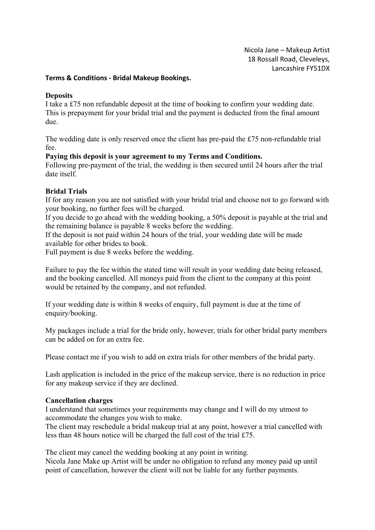Nicola Jane – Makeup Artist 18 Rossall Road, Cleveleys, Lancashire FY51DX

### **Terms & Conditions - Bridal Makeup Bookings.**

#### **Deposits**

I take a £75 non refundable deposit at the time of booking to confirm your wedding date. This is prepayment for your bridal trial and the payment is deducted from the final amount due.

The wedding date is only reserved once the client has pre-paid the £75 non-refundable trial fee.

#### **Paying this deposit is your agreement to my Terms and Conditions.**

Following pre-payment of the trial, the wedding is then secured until 24 hours after the trial date itself.

## **Bridal Trials**

If for any reason you are not satisfied with your bridal trial and choose not to go forward with your booking, no further fees will be charged.

If you decide to go ahead with the wedding booking, a 50% deposit is payable at the trial and the remaining balance is payable 8 weeks before the wedding.

If the deposit is not paid within 24 hours of the trial, your wedding date will be made available for other brides to book.

Full payment is due 8 weeks before the wedding.

Failure to pay the fee within the stated time will result in your wedding date being released, and the booking cancelled. All moneys paid from the client to the company at this point would be retained by the company, and not refunded.

If your wedding date is within 8 weeks of enquiry, full payment is due at the time of enquiry/booking.

My packages include a trial for the bride only, however, trials for other bridal party members can be added on for an extra fee.

Please contact me if you wish to add on extra trials for other members of the bridal party.

Lash application is included in the price of the makeup service, there is no reduction in price for any makeup service if they are declined.

#### **Cancellation charges**

I understand that sometimes your requirements may change and I will do my utmost to accommodate the changes you wish to make.

The client may reschedule a bridal makeup trial at any point, however a trial cancelled with less than 48 hours notice will be charged the full cost of the trial £75.

The client may cancel the wedding booking at any point in writing.

Nicola Jane Make up Artist will be under no obligation to refund any money paid up until point of cancellation, however the client will not be liable for any further payments.